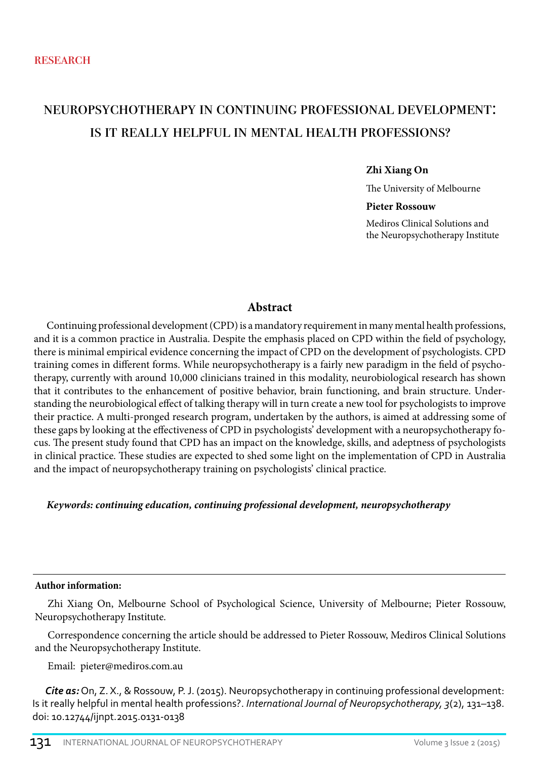# neuropsychotherapy in continuing professional development: is it really helpful in mental health professions?

#### **Zhi Xiang On**

The University of Melbourne

#### **Pieter Rossouw**

Mediros Clinical Solutions and the Neuropsychotherapy Institute

#### **Abstract**

Continuing professional development (CPD) is a mandatory requirement in many mental health professions, and it is a common practice in Australia. Despite the emphasis placed on CPD within the field of psychology, there is minimal empirical evidence concerning the impact of CPD on the development of psychologists. CPD training comes in different forms. While neuropsychotherapy is a fairly new paradigm in the field of psychotherapy, currently with around 10,000 clinicians trained in this modality, neurobiological research has shown that it contributes to the enhancement of positive behavior, brain functioning, and brain structure. Understanding the neurobiological effect of talking therapy will in turn create a new tool for psychologists to improve their practice. A multi-pronged research program, undertaken by the authors, is aimed at addressing some of these gaps by looking at the effectiveness of CPD in psychologists' development with a neuropsychotherapy focus. The present study found that CPD has an impact on the knowledge, skills, and adeptness of psychologists in clinical practice. These studies are expected to shed some light on the implementation of CPD in Australia and the impact of neuropsychotherapy training on psychologists' clinical practice.

*Keywords: continuing education, continuing professional development, neuropsychotherapy*

#### **Author information:**

Zhi Xiang On, Melbourne School of Psychological Science, University of Melbourne; Pieter Rossouw, Neuropsychotherapy Institute.

Correspondence concerning the article should be addressed to Pieter Rossouw, Mediros Clinical Solutions and the Neuropsychotherapy Institute.

Email: pieter@mediros.com.au

*Cite as:* On, Z. X., & Rossouw, P. J. (2015). Neuropsychotherapy in continuing professional development: Is it really helpful in mental health professions?. *International Journal of Neuropsychotherapy, 3*(2), 131–138. doi: 10.12744/ijnpt.2015.0131-0138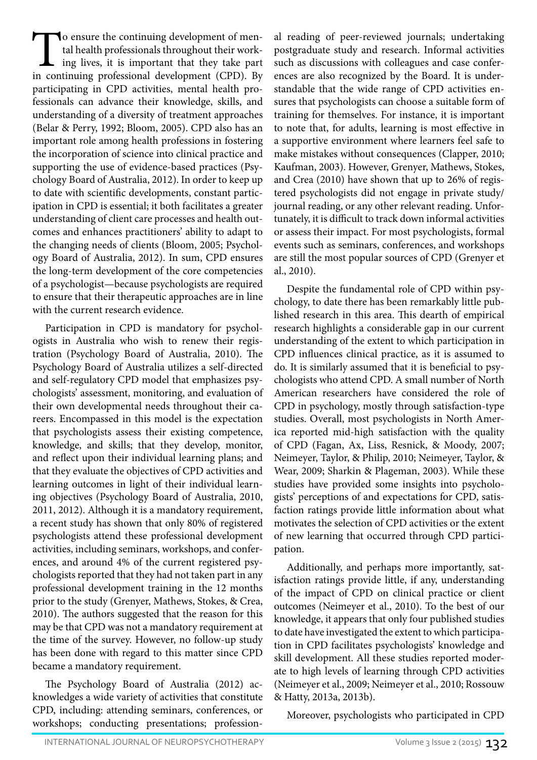To ensure the continuing development of mental health professionals throughout their working lives, it is important that they take part in continuing professional development (CPD). By tal health professionals throughout their working lives, it is important that they take part in continuing professional development (CPD). By participating in CPD activities, mental health professionals can advance their knowledge, skills, and understanding of a diversity of treatment approaches (Belar & Perry, 1992; Bloom, 2005). CPD also has an important role among health professions in fostering the incorporation of science into clinical practice and supporting the use of evidence-based practices (Psychology Board of Australia, 2012). In order to keep up to date with scientific developments, constant participation in CPD is essential; it both facilitates a greater understanding of client care processes and health outcomes and enhances practitioners' ability to adapt to the changing needs of clients (Bloom, 2005; Psychology Board of Australia, 2012). In sum, CPD ensures the long-term development of the core competencies of a psychologist—because psychologists are required to ensure that their therapeutic approaches are in line with the current research evidence.

Participation in CPD is mandatory for psychologists in Australia who wish to renew their registration (Psychology Board of Australia, 2010). The Psychology Board of Australia utilizes a self-directed and self-regulatory CPD model that emphasizes psychologists' assessment, monitoring, and evaluation of their own developmental needs throughout their careers. Encompassed in this model is the expectation that psychologists assess their existing competence, knowledge, and skills; that they develop, monitor, and reflect upon their individual learning plans; and that they evaluate the objectives of CPD activities and learning outcomes in light of their individual learning objectives (Psychology Board of Australia, 2010, 2011, 2012). Although it is a mandatory requirement, a recent study has shown that only 80% of registered psychologists attend these professional development activities, including seminars, workshops, and conferences, and around 4% of the current registered psychologists reported that they had not taken part in any professional development training in the 12 months prior to the study (Grenyer, Mathews, Stokes, & Crea, 2010). The authors suggested that the reason for this may be that CPD was not a mandatory requirement at the time of the survey. However, no follow-up study has been done with regard to this matter since CPD became a mandatory requirement.

The Psychology Board of Australia (2012) acknowledges a wide variety of activities that constitute CPD, including: attending seminars, conferences, or workshops; conducting presentations; professional reading of peer-reviewed journals; undertaking postgraduate study and research. Informal activities such as discussions with colleagues and case conferences are also recognized by the Board. It is understandable that the wide range of CPD activities ensures that psychologists can choose a suitable form of training for themselves. For instance, it is important to note that, for adults, learning is most effective in a supportive environment where learners feel safe to make mistakes without consequences (Clapper, 2010; Kaufman, 2003). However, Grenyer, Mathews, Stokes, and Crea (2010) have shown that up to 26% of registered psychologists did not engage in private study/ journal reading, or any other relevant reading. Unfortunately, it is difficult to track down informal activities or assess their impact. For most psychologists, formal events such as seminars, conferences, and workshops are still the most popular sources of CPD (Grenyer et al., 2010).

Despite the fundamental role of CPD within psychology, to date there has been remarkably little published research in this area. This dearth of empirical research highlights a considerable gap in our current understanding of the extent to which participation in CPD influences clinical practice, as it is assumed to do. It is similarly assumed that it is beneficial to psychologists who attend CPD. A small number of North American researchers have considered the role of CPD in psychology, mostly through satisfaction-type studies. Overall, most psychologists in North America reported mid-high satisfaction with the quality of CPD (Fagan, Ax, Liss, Resnick, & Moody, 2007; Neimeyer, Taylor, & Philip, 2010; Neimeyer, Taylor, & Wear, 2009; Sharkin & Plageman, 2003). While these studies have provided some insights into psychologists' perceptions of and expectations for CPD, satisfaction ratings provide little information about what motivates the selection of CPD activities or the extent of new learning that occurred through CPD participation.

Additionally, and perhaps more importantly, satisfaction ratings provide little, if any, understanding of the impact of CPD on clinical practice or client outcomes (Neimeyer et al., 2010). To the best of our knowledge, it appears that only four published studies to date have investigated the extent to which participation in CPD facilitates psychologists' knowledge and skill development. All these studies reported moderate to high levels of learning through CPD activities (Neimeyer et al., 2009; Neimeyer et al., 2010; Rossouw & Hatty, 2013a, 2013b).

Moreover, psychologists who participated in CPD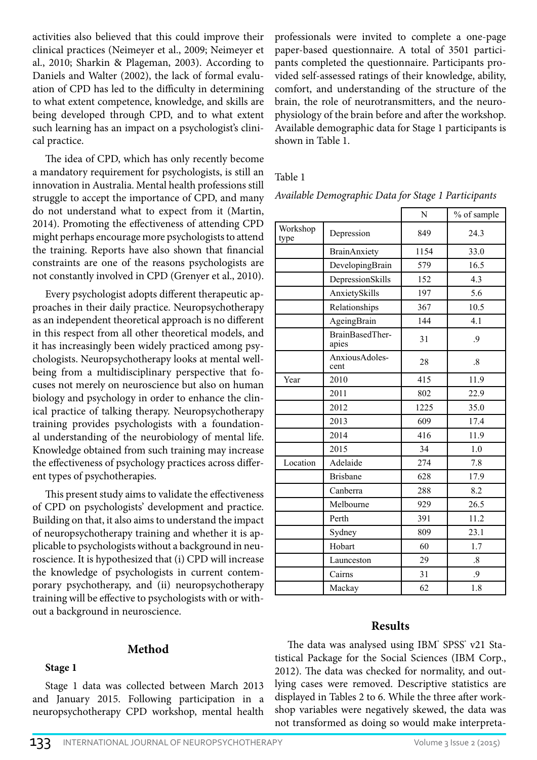activities also believed that this could improve their clinical practices (Neimeyer et al., 2009; Neimeyer et al., 2010; Sharkin & Plageman, 2003). According to Daniels and Walter (2002), the lack of formal evaluation of CPD has led to the difficulty in determining to what extent competence, knowledge, and skills are being developed through CPD, and to what extent such learning has an impact on a psychologist's clinical practice.

The idea of CPD, which has only recently become a mandatory requirement for psychologists, is still an innovation in Australia. Mental health professions still struggle to accept the importance of CPD, and many do not understand what to expect from it (Martin, 2014). Promoting the effectiveness of attending CPD might perhaps encourage more psychologists to attend the training. Reports have also shown that financial constraints are one of the reasons psychologists are not constantly involved in CPD (Grenyer et al., 2010).

Every psychologist adopts different therapeutic approaches in their daily practice. Neuropsychotherapy as an independent theoretical approach is no different in this respect from all other theoretical models, and it has increasingly been widely practiced among psychologists. Neuropsychotherapy looks at mental wellbeing from a multidisciplinary perspective that focuses not merely on neuroscience but also on human biology and psychology in order to enhance the clinical practice of talking therapy. Neuropsychotherapy training provides psychologists with a foundational understanding of the neurobiology of mental life. Knowledge obtained from such training may increase the effectiveness of psychology practices across different types of psychotherapies.

This present study aims to validate the effectiveness of CPD on psychologists' development and practice. Building on that, it also aims to understand the impact of neuropsychotherapy training and whether it is applicable to psychologists without a background in neuroscience. It is hypothesized that (i) CPD will increase the knowledge of psychologists in current contemporary psychotherapy, and (ii) neuropsychotherapy training will be effective to psychologists with or without a background in neuroscience.

## **Method**

**Stage 1**

Stage 1 data was collected between March 2013 and January 2015. Following participation in a neuropsychotherapy CPD workshop, mental health professionals were invited to complete a one-page paper-based questionnaire. A total of 3501 participants completed the questionnaire. Participants provided self-assessed ratings of their knowledge, ability, comfort, and understanding of the structure of the brain, the role of neurotransmitters, and the neurophysiology of the brain before and after the workshop. Available demographic data for Stage 1 participants is shown in Table 1.

## Table 1

*Available Demographic Data for Stage 1 Participants*

|                  |                          | N    | % of sample       |  |  |
|------------------|--------------------------|------|-------------------|--|--|
| Workshop<br>type | Depression               | 849  | 24.3              |  |  |
|                  | <b>BrainAnxiety</b>      | 1154 | 33.0              |  |  |
|                  | DevelopingBrain          | 579  | 16.5              |  |  |
|                  | DepressionSkills         | 152  | 4.3               |  |  |
|                  | AnxietySkills            | 197  | 5.6               |  |  |
|                  | Relationships            | 367  | 10.5              |  |  |
|                  | AgeingBrain              | 144  | 4.1               |  |  |
|                  | BrainBasedTher-<br>apies | 31   | .9                |  |  |
|                  | AnxiousAdoles-<br>cent   | 28   | $.8\,$            |  |  |
| Year             | 2010                     | 415  | 11.9              |  |  |
|                  | 2011                     | 802  | 22.9              |  |  |
|                  | 2012                     | 1225 | 35.0              |  |  |
|                  | 2013                     | 609  | 17.4              |  |  |
|                  | 2014                     | 416  | 11.9              |  |  |
|                  | 2015                     | 34   | 1.0               |  |  |
| Location         | Adelaide                 | 274  | 7.8               |  |  |
|                  | <b>Brisbane</b>          | 628  | 17.9              |  |  |
|                  | Canberra                 | 288  | 8.2               |  |  |
|                  | Melbourne                | 929  | 26.5              |  |  |
|                  | Perth                    | 391  | 11.2              |  |  |
|                  | Sydney                   | 809  | 23.1              |  |  |
|                  | Hobart                   | 60   | 1.7               |  |  |
|                  | Launceston               | 29   | $\boldsymbol{.8}$ |  |  |
|                  | Cairns                   | 31   | .9                |  |  |
|                  | Mackay                   | 62   | 1.8               |  |  |

# **Results**

The data was analysed using IBM<sup>®</sup> SPSS<sup>®</sup> v21 Statistical Package for the Social Sciences (IBM Corp., 2012). The data was checked for normality, and outlying cases were removed. Descriptive statistics are displayed in Tables 2 to 6. While the three after workshop variables were negatively skewed, the data was not transformed as doing so would make interpreta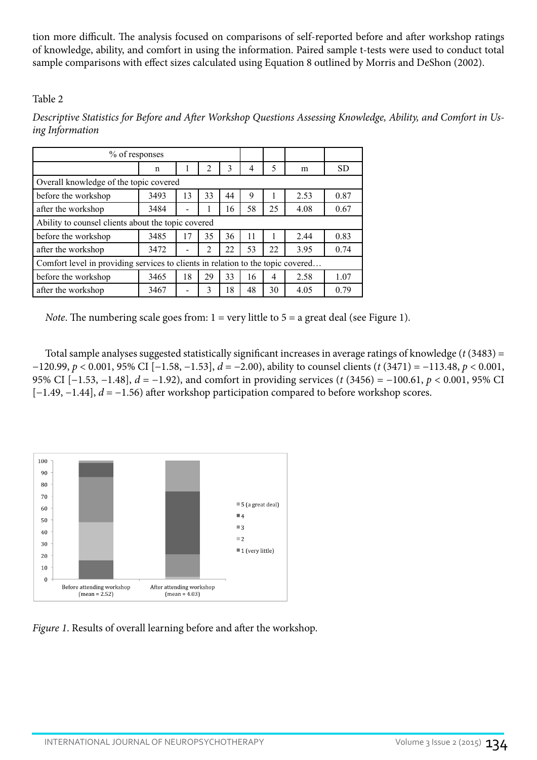tion more difficult. The analysis focused on comparisons of self-reported before and after workshop ratings of knowledge, ability, and comfort in using the information. Paired sample t-tests were used to conduct total sample comparisons with effect sizes calculated using Equation 8 outlined by Morris and DeShon (2002).

# Table 2

| % of responses                                                                  |                                                    |    |                |    |    |    |      |           |  |  |
|---------------------------------------------------------------------------------|----------------------------------------------------|----|----------------|----|----|----|------|-----------|--|--|
|                                                                                 | n                                                  |    | 2              | 3  | 4  | 5  | m    | <b>SD</b> |  |  |
| Overall knowledge of the topic covered                                          |                                                    |    |                |    |    |    |      |           |  |  |
| before the workshop                                                             | 3493                                               | 13 | 33             | 44 | 9  |    | 2.53 | 0.87      |  |  |
| after the workshop                                                              | 3484                                               |    |                | 16 | 58 | 25 | 4.08 | 0.67      |  |  |
|                                                                                 | Ability to counsel clients about the topic covered |    |                |    |    |    |      |           |  |  |
| before the workshop                                                             | 3485                                               | 17 | 35             | 36 | 11 |    | 2.44 | 0.83      |  |  |
| after the workshop                                                              | 3472                                               |    | $\mathfrak{D}$ | 22 | 53 | 22 | 3.95 | 0.74      |  |  |
| Comfort level in providing services to clients in relation to the topic covered |                                                    |    |                |    |    |    |      |           |  |  |
| before the workshop                                                             | 3465                                               | 18 | 29             | 33 | 16 | 4  | 2.58 | 1.07      |  |  |
| after the workshop                                                              | 3467                                               |    | 3              | 18 | 48 | 30 | 4.05 | 0.79      |  |  |

*Descriptive Statistics for Before and After Workshop Questions Assessing Knowledge, Ability, and Comfort in Using Information*

*Note*. The numbering scale goes from:  $1 = \text{very little to } 5 = \text{a great deal (see Figure 1).}$ 

Total sample analyses suggested statistically significant increases in average ratings of knowledge (*t* (3483) = −120.99, *p* < 0.001, 95% CI [−1.58, −1.53], *d* = −2.00), ability to counsel clients (*t* (3471) = −113.48, *p* < 0.001, 95% CI [−1.53, −1.48], *d* = −1.92), and comfort in providing services (*t* (3456) = −100.61, *p* < 0.001, 95% CI [−1.49, −1.44], *d* = −1.56) after workshop participation compared to before workshop scores.



*Figure 1*. Results of overall learning before and after the workshop.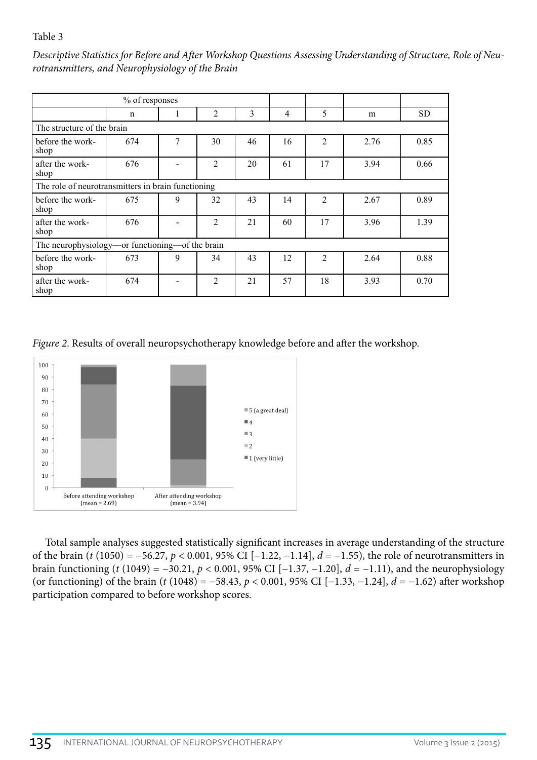## Table 3

*Descriptive Statistics for Before and After Workshop Questions Assessing Understanding of Structure, Role of Neurotransmitters, and Neurophysiology of the Brain*

|                            | % of responses                                     |   |                |    |                |                |      |           |  |  |
|----------------------------|----------------------------------------------------|---|----------------|----|----------------|----------------|------|-----------|--|--|
|                            | $\mathbf n$                                        | 1 | $\overline{2}$ | 3  | $\overline{4}$ | 5              | m    | <b>SD</b> |  |  |
| The structure of the brain |                                                    |   |                |    |                |                |      |           |  |  |
| before the work-<br>shop   | 674                                                | 7 | 30             | 46 | 16             | $\overline{2}$ | 2.76 | 0.85      |  |  |
| after the work-<br>shop    | 676                                                |   | $\overline{2}$ | 20 | 61             | 17             | 3.94 | 0.66      |  |  |
|                            | The role of neurotransmitters in brain functioning |   |                |    |                |                |      |           |  |  |
| before the work-<br>shop   | 675                                                | 9 | 32             | 43 | 14             | $\overline{2}$ | 2.67 | 0.89      |  |  |
| after the work-<br>shop    | 676                                                |   | $\overline{c}$ | 21 | 60             | 17             | 3.96 | 1.39      |  |  |
|                            | The neurophysiology—or functioning—of the brain    |   |                |    |                |                |      |           |  |  |
| before the work-<br>shop   | 673                                                | 9 | 34             | 43 | 12             | $\overline{2}$ | 2.64 | 0.88      |  |  |
| after the work-<br>shop    | 674                                                |   | 2              | 21 | 57             | 18             | 3.93 | 0.70      |  |  |

*Figure 2*. Results of overall neuropsychotherapy knowledge before and after the workshop.



Total sample analyses suggested statistically significant increases in average understanding of the structure of the brain (*t* (1050) = −56.27, *p* < 0.001, 95% CI [−1.22, −1.14], *d* = −1.55), the role of neurotransmitters in brain functioning (*t* (1049) = −30.21, *p* < 0.001, 95% CI [−1.37, −1.20], *d* = −1.11), and the neurophysiology (or functioning) of the brain (*t* (1048) = −58.43, *p* < 0.001, 95% CI [−1.33, −1.24], *d* = −1.62) after workshop participation compared to before workshop scores.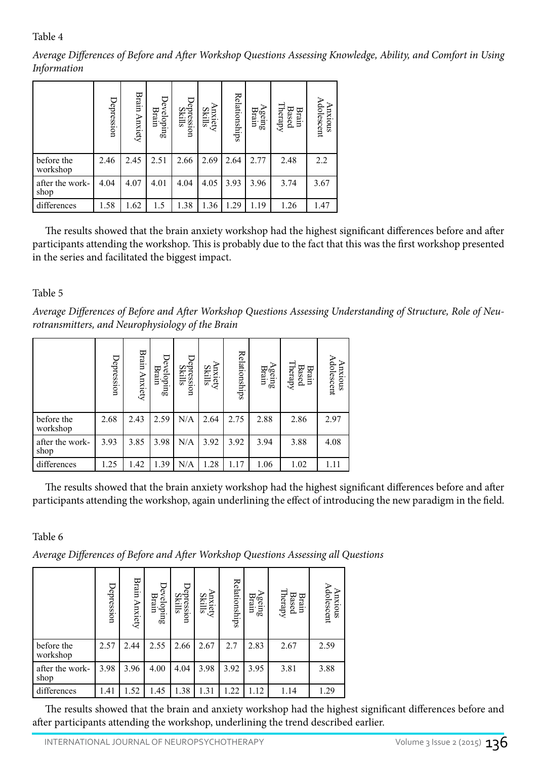# Table 4

*Average Differences of Before and After Workshop Questions Assessing Knowledge, Ability, and Comfort in Using Information*

|                         | Depression | Brain<br>Anxiety | Developing<br>Brain | Depression<br>Skills | ⋗<br><b>Anxiety</b><br>Skills | Relationships | ⋗<br>Brain<br>geing | Therapy<br><b>Based</b><br>Brain | Adolescent<br>Anxious |
|-------------------------|------------|------------------|---------------------|----------------------|-------------------------------|---------------|---------------------|----------------------------------|-----------------------|
| before the<br>workshop  | 2.46       | 2.45             | 2.51                | 2.66                 | 2.69                          | 2.64          | 2.77                | 2.48                             | 2.2                   |
| after the work-<br>shop | 4.04       | 4.07             | 4.01                | 4.04                 | 4.05                          | 3.93          | 3.96                | 3.74                             | 3.67                  |
| differences             | 1.58       | 1.62             | 1.5                 | 1.38                 | 1.36                          | .29           | 1.19                | 1.26                             | 1.47                  |

The results showed that the brain anxiety workshop had the highest significant differences before and after participants attending the workshop. This is probably due to the fact that this was the first workshop presented in the series and facilitated the biggest impact.

# Table 5

*Average Differences of Before and After Workshop Questions Assessing Understanding of Structure, Role of Neurotransmitters, and Neurophysiology of the Brain*

|                                                                                                                                                                                                                                                                                                                                                                                 | Depression        | Brain Anxiety | Developing<br>Brain | Depression<br>Skills        | Anxiety<br>Skills        | Relationships | Ageing<br>Brain                                                                 | Therapy<br>Brain<br>Based                                                    | Adolescent<br>Anxious |
|---------------------------------------------------------------------------------------------------------------------------------------------------------------------------------------------------------------------------------------------------------------------------------------------------------------------------------------------------------------------------------|-------------------|---------------|---------------------|-----------------------------|--------------------------|---------------|---------------------------------------------------------------------------------|------------------------------------------------------------------------------|-----------------------|
| before the<br>workshop                                                                                                                                                                                                                                                                                                                                                          | 2.46              | 2.45          | 2.51                | 2.66                        | 2.69                     | 2.64          | 2.77                                                                            | 2.48                                                                         | 2.2                   |
| after the work-<br>shop                                                                                                                                                                                                                                                                                                                                                         | 4.04              | 4.07          | 4.01                | 4.04                        | 4.05                     | 3.93          | 3.96                                                                            | 3.74                                                                         | 3.67                  |
| differences                                                                                                                                                                                                                                                                                                                                                                     | 1.58              | 1.62          | 1.5                 | 1.38                        | 1.36                     | 1.29          | 1.19                                                                            | 1.26                                                                         | 1.47                  |
| The results showed that the brain anxiety workshop had the highest significant<br>participants attending the workshop. This is probably due to the fact that this was t<br>in the series and facilitated the biggest impact.<br>Table 5<br>Average Differences of Before and After Workshop Questions Assessing Understandi<br>rotransmitters, and Neurophysiology of the Brain |                   |               |                     |                             |                          |               |                                                                                 |                                                                              |                       |
|                                                                                                                                                                                                                                                                                                                                                                                 | Depression        | Brain Anxiety | Developing<br>Brain | Depression<br>Skills        | <b>Anxiety</b><br>Skills | Relationships | $\begin{array}{c}\Lambda \text{gen} \\ \text{Brain} \\ \text{Brain}\end{array}$ | $\begin{array}{c} \text{Brain} \\ \text{Based} \\ \text{Theary} \end{array}$ | Adolescent<br>Anxious |
| before the<br>workshop                                                                                                                                                                                                                                                                                                                                                          | 2.68              | 2.43          | 2.59                | N/A                         | 2.64                     | 2.75          | 2.88                                                                            | 2.86                                                                         | 2.97                  |
| after the work-<br>shop                                                                                                                                                                                                                                                                                                                                                         | 3.93              | 3.85          | 3.98                | N/A                         | 3.92                     | 3.92          | 3.94                                                                            | 3.88                                                                         | 4.08                  |
| differences                                                                                                                                                                                                                                                                                                                                                                     | 1.25              | 1.42          | 1.39                | N/A                         | 1.28                     | 1.17          | 1.06                                                                            | 1.02                                                                         | 1.11                  |
| The results showed that the brain anxiety workshop had the highest significant<br>participants attending the workshop, again underlining the effect of introducing the<br>Table 6<br>Average Differences of Before and After Workshop Questions Assessing all Questions                                                                                                         | <b>Depression</b> | Brain Anxiety | Developing<br>Brain | Depression<br><b>Skills</b> | Anxiety<br>Skills        | Relationships | Ageing<br>Brain                                                                 | Brain<br>Based<br>Therapy                                                    | Anxious<br>Adolescent |
| before the                                                                                                                                                                                                                                                                                                                                                                      | 2.57              | 2.44          | 2.55                | 2.66                        | 2.67                     | 2.7           | 2.83                                                                            | 2.67                                                                         | 2.59                  |
| workshop<br>after the work-                                                                                                                                                                                                                                                                                                                                                     | 3.98              | 3.96          | 4.00                | 4.04                        | 3.98                     | 3.92          | 3.95                                                                            | 3.81                                                                         | 3.88                  |
| shop<br>differences                                                                                                                                                                                                                                                                                                                                                             | 1.41              | 1.52          | 1.45                | 1.38                        | 1.31                     | 1.22          | 1.12                                                                            | 1.14                                                                         | 1.29                  |
| The results showed that the brain and anxiety workshop had the highest signif<br>after participants attending the workshop, underlining the trend described earlier.                                                                                                                                                                                                            |                   |               |                     |                             |                          |               |                                                                                 |                                                                              |                       |

The results showed that the brain anxiety workshop had the highest significant differences before and after participants attending the workshop, again underlining the effect of introducing the new paradigm in the field.

# Table 6

|                         | Depression | Brain<br>Anxiety | Developing<br>Brain | Depression<br>Skills | ⊃<br><b>Anxiety</b><br>Skills | Relationships | <b>Ageing</b><br>Brain | Therapy<br>Brain<br>Based | Adolescent<br>axious |
|-------------------------|------------|------------------|---------------------|----------------------|-------------------------------|---------------|------------------------|---------------------------|----------------------|
| before the<br>workshop  | 2.57       | 2.44             | 2.55                | 2.66                 | 2.67                          | 2.7           | 2.83                   | 2.67                      | 2.59                 |
| after the work-<br>shop | 3.98       | 3.96             | 4.00                | 4.04                 | 3.98                          | 3.92          | 3.95                   | 3.81                      | 3.88                 |
| differences             | 1.41       | 1.52             | 1.45                | 1.38                 | 1.31                          | 1.22          | 1.12                   | 1.14                      | 1.29                 |

The results showed that the brain and anxiety workshop had the highest significant differences before and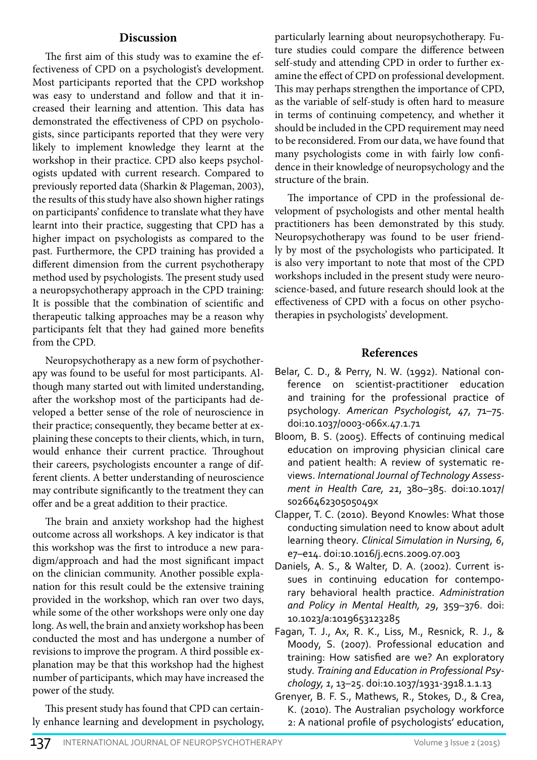#### **Discussion**

The first aim of this study was to examine the effectiveness of CPD on a psychologist's development. Most participants reported that the CPD workshop was easy to understand and follow and that it increased their learning and attention. This data has demonstrated the effectiveness of CPD on psychologists, since participants reported that they were very likely to implement knowledge they learnt at the workshop in their practice. CPD also keeps psychologists updated with current research. Compared to previously reported data (Sharkin & Plageman, 2003), the results of this study have also shown higher ratings on participants' confidence to translate what they have learnt into their practice, suggesting that CPD has a higher impact on psychologists as compared to the past. Furthermore, the CPD training has provided a different dimension from the current psychotherapy method used by psychologists. The present study used a neuropsychotherapy approach in the CPD training: It is possible that the combination of scientific and therapeutic talking approaches may be a reason why participants felt that they had gained more benefits from the CPD.

Neuropsychotherapy as a new form of psychotherapy was found to be useful for most participants. Although many started out with limited understanding, after the workshop most of the participants had developed a better sense of the role of neuroscience in their practice; consequently, they became better at explaining these concepts to their clients, which, in turn, would enhance their current practice. Throughout their careers, psychologists encounter a range of different clients. A better understanding of neuroscience may contribute significantly to the treatment they can offer and be a great addition to their practice.

The brain and anxiety workshop had the highest outcome across all workshops. A key indicator is that this workshop was the first to introduce a new paradigm/approach and had the most significant impact on the clinician community. Another possible explanation for this result could be the extensive training provided in the workshop, which ran over two days, while some of the other workshops were only one day long. As well, the brain and anxiety workshop has been conducted the most and has undergone a number of revisions to improve the program. A third possible explanation may be that this workshop had the highest number of participants, which may have increased the power of the study.

This present study has found that CPD can certainly enhance learning and development in psychology, particularly learning about neuropsychotherapy. Future studies could compare the difference between self-study and attending CPD in order to further examine the effect of CPD on professional development. This may perhaps strengthen the importance of CPD, as the variable of self-study is often hard to measure in terms of continuing competency, and whether it should be included in the CPD requirement may need to be reconsidered. From our data, we have found that many psychologists come in with fairly low confidence in their knowledge of neuropsychology and the structure of the brain.

The importance of CPD in the professional development of psychologists and other mental health practitioners has been demonstrated by this study. Neuropsychotherapy was found to be user friendly by most of the psychologists who participated. It is also very important to note that most of the CPD workshops included in the present study were neuroscience-based, and future research should look at the effectiveness of CPD with a focus on other psychotherapies in psychologists' development.

### **References**

- Belar, C. D., & Perry, N. W. (1992). National conference on scientist-practitioner education and training for the professional practice of psychology. *American Psychologist, 47*, 71–75. doi:10.1037/0003-066x.47.1.71
- Bloom, B. S. (2005). Effects of continuing medical education on improving physician clinical care and patient health: A review of systematic reviews. *International Journal of Technology Assessment in Health Care, 21*, 380–385. doi:10.1017/ s026646230505049x
- Clapper, T. C. (2010). Beyond Knowles: What those conducting simulation need to know about adult learning theory. *Clinical Simulation in Nursing, 6*, e7–e14. doi:10.1016/j.ecns.2009.07.003
- Daniels, A. S., & Walter, D. A. (2002). Current issues in continuing education for contemporary behavioral health practice. *Administration and Policy in Mental Health, 29*, 359–376. doi: 10.1023/a:1019653123285
- Fagan, T. J., Ax, R. K., Liss, M., Resnick, R. J., & Moody, S. (2007). Professional education and training: How satisfied are we? An exploratory study. *Training and Education in Professional Psychology, 1*, 13–25. doi:10.1037/1931-3918.1.1.13
- Grenyer, B. F. S., Mathews, R., Stokes, D., & Crea, K. (2010). The Australian psychology workforce 2: A national profile of psychologists' education,